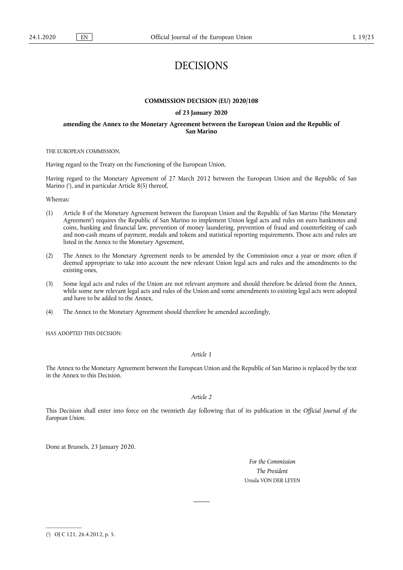# DECISIONS

#### **COMMISSION DECISION (EU) 2020/108**

#### **of 23 January 2020**

### **amending the Annex to the Monetary Agreement between the European Union and the Republic of San Marino**

THE EUROPEAN COMMISSION,

Having regard to the Treaty on the Functioning of the European Union,

Having regard to the Monetary Agreement of 27 March 2012 between the European Union and the Republic of San Marino ( 1 ), and in particular Article 8(5) thereof,

Whereas:

- (1) Article 8 of the Monetary Agreement between the European Union and the Republic of San Marino ('the Monetary Agreement') requires the Republic of San Marino to implement Union legal acts and rules on euro banknotes and coins, banking and financial law, prevention of money laundering, prevention of fraud and counterfeiting of cash and non-cash means of payment, medals and tokens and statistical reporting requirements. Those acts and rules are listed in the Annex to the Monetary Agreement,
- (2) The Annex to the Monetary Agreement needs to be amended by the Commission once a year or more often if deemed appropriate to take into account the new relevant Union legal acts and rules and the amendments to the existing ones,
- (3) Some legal acts and rules of the Union are not relevant anymore and should therefore be deleted from the Annex, while some new relevant legal acts and rules of the Union and some amendments to existing legal acts were adopted and have to be added to the Annex,
- (4) The Annex to the Monetary Agreement should therefore be amended accordingly,

HAS ADOPTED THIS DECISION:

*Article 1* 

The Annex to the Monetary Agreement between the European Union and the Republic of San Marino is replaced by the text in the Annex to this Decision.

```
Article 2
```
This Decision shall enter into force on the twentieth day following that of its publication in the *Official Journal of the European Union*.

Done at Brussels, 23 January 2020.

*For the Commission The President*  Ursula VON DER LEYEN

<sup>(</sup> 1 ) OJ C 121, 26.4.2012, p. 5.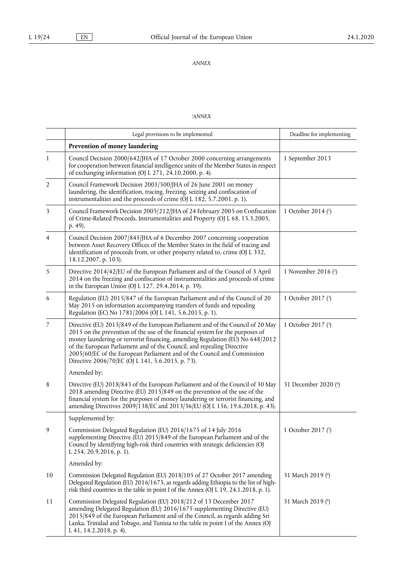*ANNEX* 

## *'ANNEX*

|                | Legal provisions to be implemented                                                                                                                                                                                                                                                                                                                                                                                                                          | Deadline for implementing |
|----------------|-------------------------------------------------------------------------------------------------------------------------------------------------------------------------------------------------------------------------------------------------------------------------------------------------------------------------------------------------------------------------------------------------------------------------------------------------------------|---------------------------|
|                | Prevention of money laundering                                                                                                                                                                                                                                                                                                                                                                                                                              |                           |
| 1              | Council Decision 2000/642/JHA of 17 October 2000 concerning arrangements<br>for cooperation between financial intelligence units of the Member States in respect<br>of exchanging information (OJ L 271, 24.10.2000, p. 4).                                                                                                                                                                                                                                 | 1 September 2013          |
| $\overline{2}$ | Council Framework Decision 2001/500/JHA of 26 June 2001 on money<br>laundering, the identification, tracing, freezing, seizing and confiscation of<br>instrumentalities and the proceeds of crime (OJ L 182, 5.7.2001, p. 1).                                                                                                                                                                                                                               |                           |
| 3              | Council Framework Decision 2005/212/JHA of 24 February 2005 on Confiscation<br>of Crime-Related Proceeds, Instrumentalities and Property (OJ L 68, 15.3.2005,<br>p. 49).                                                                                                                                                                                                                                                                                    | 1 October 2014 (1)        |
| $\overline{4}$ | Council Decision 2007/845/JHA of 6 December 2007 concerning cooperation<br>between Asset Recovery Offices of the Member States in the field of tracing and<br>identification of proceeds from, or other property related to, crime (OJ L 332,<br>18.12.2007, p. 103).                                                                                                                                                                                       |                           |
| 5              | Directive 2014/42/EU of the European Parliament and of the Council of 3 April<br>2014 on the freezing and confiscation of instrumentalities and proceeds of crime<br>in the European Union (OJ L 127, 29.4.2014, p. 39).                                                                                                                                                                                                                                    | 1 November 2016 $(2)$     |
| 6              | Regulation (EU) 2015/847 of the European Parliament and of the Council of 20<br>May 2015 on information accompanying transfers of funds and repealing<br>Regulation (EC) No 1781/2006 (OJ L 141, 5.6.2015, p. 1).                                                                                                                                                                                                                                           | 1 October 2017 (3)        |
| 7              | Directive (EU) 2015/849 of the European Parliament and of the Council of 20 May<br>2015 on the prevention of the use of the financial system for the purposes of<br>money laundering or terrorist financing, amending Regulation (EU) No 648/2012<br>of the European Parliament and of the Council, and repealing Directive<br>2005/60/EC of the European Parliament and of the Council and Commission<br>Directive 2006/70/EC (OJ L 141, 5.6.2015, p. 73). | 1 October 2017 (3)        |
|                | Amended by:                                                                                                                                                                                                                                                                                                                                                                                                                                                 |                           |
| 8              | Directive (EU) 2018/843 of the European Parliament and of the Council of 30 May<br>2018 amending Directive (EU) 2015/849 on the prevention of the use of the<br>financial system for the purposes of money laundering or terrorist financing, and<br>amending Directives 2009/138/EC and 2013/36/EU (OJ L 156, 19.6.2018, p. 43).                                                                                                                           | 31 December 2020 (6)      |
|                | Supplemented by:                                                                                                                                                                                                                                                                                                                                                                                                                                            |                           |
| 9              | Commission Delegated Regulation (EU) 2016/1675 of 14 July 2016<br>supplementing Directive (EU) 2015/849 of the European Parliament and of the<br>Council by identifying high-risk third countries with strategic deficiencies (OJ<br>L 254, 20.9.2016, p. 1).                                                                                                                                                                                               | 1 October 2017 $(5)$      |
|                | Amended by:                                                                                                                                                                                                                                                                                                                                                                                                                                                 |                           |
| 10             | Commission Delegated Regulation (EU) 2018/105 of 27 October 2017 amending<br>Delegated Regulation (EU) 2016/1675, as regards adding Ethiopia to the list of high-<br>risk third countries in the table in point I of the Annex (OJ L 19, 24.1.2018, p. 1).                                                                                                                                                                                                  | 31 March 2019 (6)         |
| 11             | Commission Delegated Regulation (EU) 2018/212 of 13 December 2017<br>amending Delegated Regulation (EU) 2016/1675 supplementing Directive (EU)<br>2015/849 of the European Parliament and of the Council, as regards adding Sri<br>Lanka, Trinidad and Tobago, and Tunisia to the table in point I of the Annex (OJ<br>L 41, 14.2.2018, p. 4).                                                                                                              | 31 March 2019 (6)         |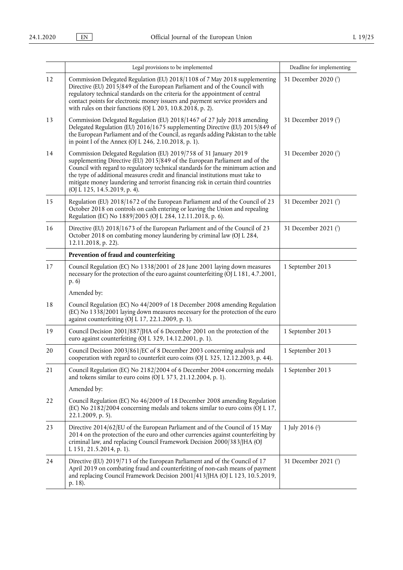|    | Legal provisions to be implemented                                                                                                                                                                                                                                                                                                                                                                                                         | Deadline for implementing |
|----|--------------------------------------------------------------------------------------------------------------------------------------------------------------------------------------------------------------------------------------------------------------------------------------------------------------------------------------------------------------------------------------------------------------------------------------------|---------------------------|
| 12 | Commission Delegated Regulation (EU) 2018/1108 of 7 May 2018 supplementing<br>Directive (EU) 2015/849 of the European Parliament and of the Council with<br>regulatory technical standards on the criteria for the appointment of central<br>contact points for electronic money issuers and payment service providers and<br>with rules on their functions (OJ L 203, 10.8.2018, p. 2).                                                   | 31 December 2020 (7)      |
| 13 | Commission Delegated Regulation (EU) 2018/1467 of 27 July 2018 amending<br>Delegated Regulation (EU) 2016/1675 supplementing Directive (EU) 2015/849 of<br>the European Parliament and of the Council, as regards adding Pakistan to the table<br>in point I of the Annex (OJ L 246, 2.10.2018, p. 1).                                                                                                                                     | 31 December 2019 (7)      |
| 14 | Commission Delegated Regulation (EU) 2019/758 of 31 January 2019<br>supplementing Directive (EU) 2015/849 of the European Parliament and of the<br>Council with regard to regulatory technical standards for the minimum action and<br>the type of additional measures credit and financial institutions must take to<br>mitigate money laundering and terrorist financing risk in certain third countries<br>(OJ L 125, 14.5.2019, p. 4). | 31 December 2020 (7)      |
| 15 | Regulation (EU) 2018/1672 of the European Parliament and of the Council of 23<br>October 2018 on controls on cash entering or leaving the Union and repealing<br>Regulation (EC) No 1889/2005 (OJ L 284, 12.11.2018, p. 6).                                                                                                                                                                                                                | 31 December 2021 (7)      |
| 16 | Directive (EU) 2018/1673 of the European Parliament and of the Council of 23<br>October 2018 on combating money laundering by criminal law (OJ L 284,<br>12.11.2018, p. 22).                                                                                                                                                                                                                                                               | 31 December 2021 (7)      |
|    | Prevention of fraud and counterfeiting                                                                                                                                                                                                                                                                                                                                                                                                     |                           |
| 17 | Council Regulation (EC) No 1338/2001 of 28 June 2001 laying down measures<br>necessary for the protection of the euro against counterfeiting (OJ L 181, 4.7.2001,<br>(p. 6)                                                                                                                                                                                                                                                                | 1 September 2013          |
|    | Amended by:                                                                                                                                                                                                                                                                                                                                                                                                                                |                           |
| 18 | Council Regulation (EC) No 44/2009 of 18 December 2008 amending Regulation<br>(EC) No 1338/2001 laying down measures necessary for the protection of the euro<br>against counterfeiting (OJ L 17, 22.1.2009, p. 1).                                                                                                                                                                                                                        |                           |
| 19 | Council Decision 2001/887/JHA of 6 December 2001 on the protection of the<br>euro against counterfeiting (OJ L 329, 14.12.2001, p. 1).                                                                                                                                                                                                                                                                                                     | 1 September 2013          |
| 20 | Council Decision 2003/861/EC of 8 December 2003 concerning analysis and<br>cooperation with regard to counterfeit euro coins (OJ L 325, 12.12.2003, p. 44).                                                                                                                                                                                                                                                                                | 1 September 2013          |
| 21 | Council Regulation (EC) No 2182/2004 of 6 December 2004 concerning medals<br>and tokens similar to euro coins (OJ L 373, 21.12.2004, p. 1).                                                                                                                                                                                                                                                                                                | 1 September 2013          |
|    | Amended by:                                                                                                                                                                                                                                                                                                                                                                                                                                |                           |
| 22 | Council Regulation (EC) No 46/2009 of 18 December 2008 amending Regulation<br>(EC) No 2182/2004 concerning medals and tokens similar to euro coins (OJ L 17,<br>22.1.2009, p. 5).                                                                                                                                                                                                                                                          |                           |
| 23 | Directive 2014/62/EU of the European Parliament and of the Council of 15 May<br>2014 on the protection of the euro and other currencies against counterfeiting by<br>criminal law, and replacing Council Framework Decision 2000/383/JHA (OJ<br>L 151, 21.5.2014, p. 1).                                                                                                                                                                   | 1 July 2016 $(2)$         |
| 24 | Directive (EU) 2019/713 of the European Parliament and of the Council of 17<br>April 2019 on combating fraud and counterfeiting of non-cash means of payment<br>and replacing Council Framework Decision 2001/413/JHA (OJ L 123, 10.5.2019,<br>p. 18).                                                                                                                                                                                     | 31 December 2021 (7)      |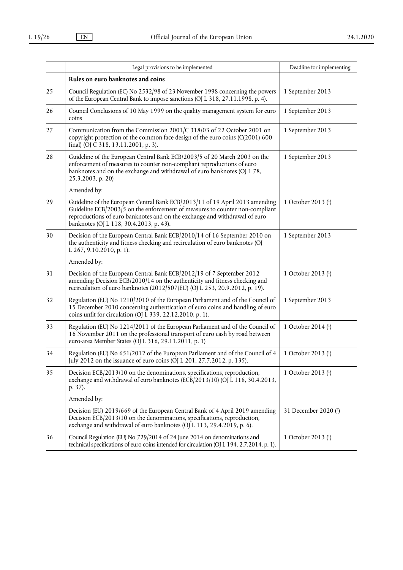|    | Legal provisions to be implemented                                                                                                                                                                                                                                                    | Deadline for implementing |
|----|---------------------------------------------------------------------------------------------------------------------------------------------------------------------------------------------------------------------------------------------------------------------------------------|---------------------------|
|    | Rules on euro banknotes and coins                                                                                                                                                                                                                                                     |                           |
| 25 | Council Regulation (EC) No 2532/98 of 23 November 1998 concerning the powers<br>of the European Central Bank to impose sanctions (OJ L 318, 27.11.1998, p. 4).                                                                                                                        | 1 September 2013          |
| 26 | Council Conclusions of 10 May 1999 on the quality management system for euro<br>coins                                                                                                                                                                                                 | 1 September 2013          |
| 27 | Communication from the Commission 2001/C 318/03 of 22 October 2001 on<br>copyright protection of the common face design of the euro coins $(C(2001) 600$<br>final) (OJ C 318, 13.11.2001, p. 3).                                                                                      | 1 September 2013          |
| 28 | Guideline of the European Central Bank ECB/2003/5 of 20 March 2003 on the<br>enforcement of measures to counter non-compliant reproductions of euro<br>banknotes and on the exchange and withdrawal of euro banknotes (OJ L 78,<br>25.3.2003, p. 20)                                  | 1 September 2013          |
|    | Amended by:                                                                                                                                                                                                                                                                           |                           |
| 29 | Guideline of the European Central Bank ECB/2013/11 of 19 April 2013 amending<br>Guideline ECB/2003/5 on the enforcement of measures to counter non-compliant<br>reproductions of euro banknotes and on the exchange and withdrawal of euro<br>banknotes (OJ L 118, 30.4.2013, p. 43). | 1 October 2013 (1)        |
| 30 | Decision of the European Central Bank ECB/2010/14 of 16 September 2010 on<br>the authenticity and fitness checking and recirculation of euro banknotes (OJ<br>L 267, 9.10.2010, p. 1).                                                                                                | 1 September 2013          |
|    | Amended by:                                                                                                                                                                                                                                                                           |                           |
| 31 | Decision of the European Central Bank ECB/2012/19 of 7 September 2012<br>amending Decision ECB/2010/14 on the authenticity and fitness checking and<br>recirculation of euro banknotes (2012/507/EU) (OJ L 253, 20.9.2012, p. 19).                                                    | 1 October 2013 (1)        |
| 32 | Regulation (EU) No 1210/2010 of the European Parliament and of the Council of<br>15 December 2010 concerning authentication of euro coins and handling of euro<br>coins unfit for circulation (OJ L 339, 22.12.2010, p. 1).                                                           | 1 September 2013          |
| 33 | Regulation (EU) No 1214/2011 of the European Parliament and of the Council of<br>16 November 2011 on the professional transport of euro cash by road between<br>euro-area Member States (OJ L 316, 29.11.2011, p. 1)                                                                  | 1 October 2014 (1)        |
| 34 | Regulation (EU) No 651/2012 of the European Parliament and of the Council of 4<br>July 2012 on the issuance of euro coins (OJ L 201, 27.7.2012, p. 135).                                                                                                                              | 1 October 2013 (1)        |
| 35 | Decision ECB/2013/10 on the denominations, specifications, reproduction,<br>exchange and withdrawal of euro banknotes (ECB/2013/10) (OJ L 118, 30.4.2013,<br>p. 37).                                                                                                                  | 1 October 2013 (1)        |
|    | Amended by:                                                                                                                                                                                                                                                                           |                           |
|    | Decision (EU) 2019/669 of the European Central Bank of 4 April 2019 amending<br>Decision ECB/2013/10 on the denominations, specifications, reproduction,<br>exchange and withdrawal of euro banknotes (OJ L 113, 29.4.2019, p. 6).                                                    | 31 December 2020 (7)      |
| 36 | Council Regulation (EU) No 729/2014 of 24 June 2014 on denominations and<br>technical specifications of euro coins intended for circulation (OJ L 194, 2.7.2014, p. 1).                                                                                                               | 1 October 2013 (1)        |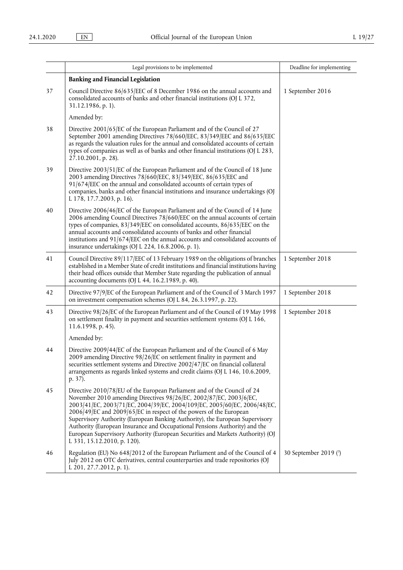|    | Legal provisions to be implemented                                                                                                                                                                                                                                                                                                                                                                                                                                                                                                                                              | Deadline for implementing |
|----|---------------------------------------------------------------------------------------------------------------------------------------------------------------------------------------------------------------------------------------------------------------------------------------------------------------------------------------------------------------------------------------------------------------------------------------------------------------------------------------------------------------------------------------------------------------------------------|---------------------------|
|    | <b>Banking and Financial Legislation</b>                                                                                                                                                                                                                                                                                                                                                                                                                                                                                                                                        |                           |
| 37 | Council Directive 86/635/EEC of 8 December 1986 on the annual accounts and<br>consolidated accounts of banks and other financial institutions (OJ L 372,<br>31.12.1986, p. 1).                                                                                                                                                                                                                                                                                                                                                                                                  | 1 September 2016          |
|    | Amended by:                                                                                                                                                                                                                                                                                                                                                                                                                                                                                                                                                                     |                           |
| 38 | Directive 2001/65/EC of the European Parliament and of the Council of 27<br>September 2001 amending Directives 78/660/EEC, 83/349/EEC and 86/635/EEC<br>as regards the valuation rules for the annual and consolidated accounts of certain<br>types of companies as well as of banks and other financial institutions (OJ L 283,<br>27.10.2001, p. 28).                                                                                                                                                                                                                         |                           |
| 39 | Directive 2003/51/EC of the European Parliament and of the Council of 18 June<br>2003 amending Directives 78/660/EEC, 83/349/EEC, 86/635/EEC and<br>91/674/EEC on the annual and consolidated accounts of certain types of<br>companies, banks and other financial institutions and insurance undertakings (OJ<br>L 178, 17.7.2003, p. 16).                                                                                                                                                                                                                                     |                           |
| 40 | Directive 2006/46/EC of the European Parliament and of the Council of 14 June<br>2006 amending Council Directives 78/660/EEC on the annual accounts of certain<br>types of companies, 83/349/EEC on consolidated accounts, 86/635/EEC on the<br>annual accounts and consolidated accounts of banks and other financial<br>institutions and 91/674/EEC on the annual accounts and consolidated accounts of<br>insurance undertakings (OJ L 224, 16.8.2006, p. 1).                                                                                                                |                           |
| 41 | Council Directive 89/117/EEC of 13 February 1989 on the obligations of branches<br>established in a Member State of credit institutions and financial institutions having<br>their head offices outside that Member State regarding the publication of annual<br>accounting documents (OJ L 44, 16.2.1989, p. 40).                                                                                                                                                                                                                                                              | 1 September 2018          |
| 42 | Directive 97/9/EC of the European Parliament and of the Council of 3 March 1997<br>on investment compensation schemes (OJ L 84, 26.3.1997, p. 22).                                                                                                                                                                                                                                                                                                                                                                                                                              | 1 September 2018          |
| 43 | Directive 98/26/EC of the European Parliament and of the Council of 19 May 1998<br>on settlement finality in payment and securities settlement systems (OJ L 166,<br>11.6.1998, p. 45).                                                                                                                                                                                                                                                                                                                                                                                         | 1 September 2018          |
|    | Amended by:                                                                                                                                                                                                                                                                                                                                                                                                                                                                                                                                                                     |                           |
| 44 | Directive 2009/44/EC of the European Parliament and of the Council of 6 May<br>2009 amending Directive 98/26/EC on settlement finality in payment and<br>securities settlement systems and Directive 2002/47/EC on financial collateral<br>arrangements as regards linked systems and credit claims (OJ L 146, 10.6.2009,<br>p. 37).                                                                                                                                                                                                                                            |                           |
| 45 | Directive 2010/78/EU of the European Parliament and of the Council of 24<br>November 2010 amending Directives 98/26/EC, 2002/87/EC, 2003/6/EC,<br>2003/41/EC, 2003/71/EC, 2004/39/EC, 2004/109/EC, 2005/60/EC, 2006/48/EC,<br>2006/49/EC and 2009/65/EC in respect of the powers of the European<br>Supervisory Authority (European Banking Authority), the European Supervisory<br>Authority (European Insurance and Occupational Pensions Authority) and the<br>European Supervisory Authority (European Securities and Markets Authority) (OJ<br>L 331, 15.12.2010, p. 120). |                           |
| 46 | Regulation (EU) No 648/2012 of the European Parliament and of the Council of 4<br>July 2012 on OTC derivatives, central counterparties and trade repositories (OJ<br>L 201, 27.7.2012, p. 1).                                                                                                                                                                                                                                                                                                                                                                                   | 30 September 2019 (3)     |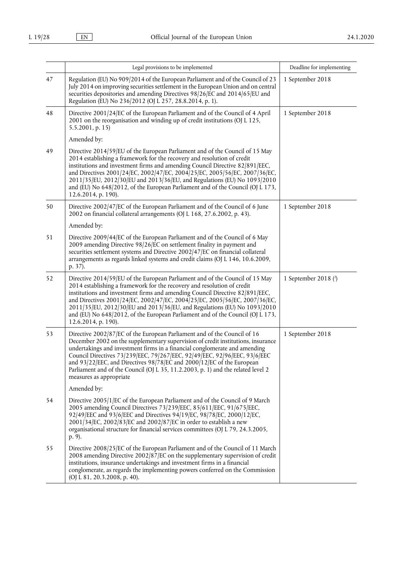|    | Legal provisions to be implemented                                                                                                                                                                                                                                                                                                                                                                                                                                                                              | Deadline for implementing |
|----|-----------------------------------------------------------------------------------------------------------------------------------------------------------------------------------------------------------------------------------------------------------------------------------------------------------------------------------------------------------------------------------------------------------------------------------------------------------------------------------------------------------------|---------------------------|
| 47 | Regulation (EU) No 909/2014 of the European Parliament and of the Council of 23<br>July 2014 on improving securities settlement in the European Union and on central<br>securities depositories and amending Directives 98/26/EC and 2014/65/EU and<br>Regulation (EU) No 236/2012 (OJ L 257, 28.8.2014, p. 1).                                                                                                                                                                                                 | 1 September 2018          |
| 48 | Directive 2001/24/EC of the European Parliament and of the Council of 4 April<br>2001 on the reorganisation and winding up of credit institutions (OJ L 125,<br>$5.5.2001$ , p. 15)                                                                                                                                                                                                                                                                                                                             | 1 September 2018          |
|    | Amended by:                                                                                                                                                                                                                                                                                                                                                                                                                                                                                                     |                           |
| 49 | Directive 2014/59/EU of the European Parliament and of the Council of 15 May<br>2014 establishing a framework for the recovery and resolution of credit<br>institutions and investment firms and amending Council Directive 82/891/EEC,<br>and Directives 2001/24/EC, 2002/47/EC, 2004/25/EC, 2005/56/EC, 2007/36/EC,<br>2011/35/EU, 2012/30/EU and 2013/36/EU, and Regulations (EU) No 1093/2010<br>and (EU) No 648/2012, of the European Parliament and of the Council (OJ L 173,<br>12.6.2014, p. 190).      |                           |
| 50 | Directive 2002/47/EC of the European Parliament and of the Council of 6 June<br>2002 on financial collateral arrangements (OJ L 168, 27.6.2002, p. 43).                                                                                                                                                                                                                                                                                                                                                         | 1 September 2018          |
|    | Amended by:                                                                                                                                                                                                                                                                                                                                                                                                                                                                                                     |                           |
| 51 | Directive 2009/44/EC of the European Parliament and of the Council of 6 May<br>2009 amending Directive 98/26/EC on settlement finality in payment and<br>securities settlement systems and Directive 2002/47/EC on financial collateral<br>arrangements as regards linked systems and credit claims (OJ L 146, 10.6.2009,<br>p. 37).                                                                                                                                                                            |                           |
| 52 | Directive 2014/59/EU of the European Parliament and of the Council of 15 May<br>2014 establishing a framework for the recovery and resolution of credit<br>institutions and investment firms and amending Council Directive 82/891/EEC,<br>and Directives 2001/24/EC, 2002/47/EC, 2004/25/EC, 2005/56/EC, 2007/36/EC,<br>2011/35/EU, 2012/30/EU and 2013/36/EU, and Regulations (EU) No 1093/2010<br>and (EU) No 648/2012, of the European Parliament and of the Council (OJ L 173,<br>12.6.2014, p. 190).      | 1 September 2018 (2)      |
| 53 | Directive 2002/87/EC of the European Parliament and of the Council of 16<br>December 2002 on the supplementary supervision of credit institutions, insurance<br>undertakings and investment firms in a financial conglomerate and amending<br>Council Directives 73/239/EEC, 79/267/EEC, 92/49/EEC, 92/96/EEC, 93/6/EEC<br>and 93/22/EEC, and Directives 98/78/EC and 2000/12/EC of the European<br>Parliament and of the Council (OJ L 35, 11.2.2003, p. 1) and the related level 2<br>measures as appropriate | 1 September 2018          |
|    | Amended by:                                                                                                                                                                                                                                                                                                                                                                                                                                                                                                     |                           |
| 54 | Directive 2005/1/EC of the European Parliament and of the Council of 9 March<br>2005 amending Council Directives 73/239/EEC, 85/611/EEC, 91/675/EEC,<br>92/49/EEC and 93/6/EEC and Directives 94/19/EC, 98/78/EC, 2000/12/EC,<br>2001/34/EC, 2002/83/EC and 2002/87/EC in order to establish a new<br>organisational structure for financial services committees (OJ L 79, 24.3.2005,<br>p. 9).                                                                                                                 |                           |
| 55 | Directive 2008/25/EC of the European Parliament and of the Council of 11 March<br>2008 amending Directive 2002/87/EC on the supplementary supervision of credit<br>institutions, insurance undertakings and investment firms in a financial<br>conglomerate, as regards the implementing powers conferred on the Commission<br>(OJ L 81, 20.3.2008, p. 40).                                                                                                                                                     |                           |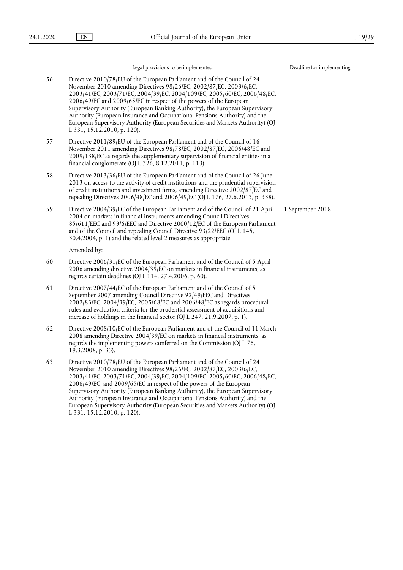|    | Legal provisions to be implemented                                                                                                                                                                                                                                                                                                                                                                                                                                                                                                                                               | Deadline for implementing |
|----|----------------------------------------------------------------------------------------------------------------------------------------------------------------------------------------------------------------------------------------------------------------------------------------------------------------------------------------------------------------------------------------------------------------------------------------------------------------------------------------------------------------------------------------------------------------------------------|---------------------------|
| 56 | Directive 2010/78/EU of the European Parliament and of the Council of 24<br>November 2010 amending Directives 98/26/EC, 2002/87/EC, 2003/6/EC,<br>2003/41/EC, 2003/71/EC, 2004/39/EC, 2004/109/EC, 2005/60/EC, 2006/48/EC,<br>2006/49/EC and 2009/65/EC in respect of the powers of the European<br>Supervisory Authority (European Banking Authority), the European Supervisory<br>Authority (European Insurance and Occupational Pensions Authority) and the<br>European Supervisory Authority (European Securities and Markets Authority) (OJ<br>L 331, 15.12.2010, p. 120).  |                           |
| 57 | Directive 2011/89/EU of the European Parliament and of the Council of 16<br>November 2011 amending Directives 98/78/EC, 2002/87/EC, 2006/48/EC and<br>2009/138/EC as regards the supplementary supervision of financial entities in a<br>financial conglomerate (OJ L 326, 8.12.2011, p. 113).                                                                                                                                                                                                                                                                                   |                           |
| 58 | Directive 2013/36/EU of the European Parliament and of the Council of 26 June<br>2013 on access to the activity of credit institutions and the prudential supervision<br>of credit institutions and investment firms, amending Directive 2002/87/EC and<br>repealing Directives 2006/48/EC and 2006/49/EC (OJ L 176, 27.6.2013, p. 338).                                                                                                                                                                                                                                         |                           |
| 59 | Directive 2004/39/EC of the European Parliament and of the Council of 21 April<br>2004 on markets in financial instruments amending Council Directives<br>85/611/EEC and 93/6/EEC and Directive 2000/12/EC of the European Parliament<br>and of the Council and repealing Council Directive 93/22/EEC (OJ L 145,<br>30.4.2004, p. 1) and the related level 2 measures as appropriate                                                                                                                                                                                             | 1 September 2018          |
|    | Amended by:                                                                                                                                                                                                                                                                                                                                                                                                                                                                                                                                                                      |                           |
| 60 | Directive 2006/31/EC of the European Parliament and of the Council of 5 April<br>2006 amending directive 2004/39/EC on markets in financial instruments, as<br>regards certain deadlines (OJ L 114, 27.4.2006, p. 60).                                                                                                                                                                                                                                                                                                                                                           |                           |
| 61 | Directive 2007/44/EC of the European Parliament and of the Council of 5<br>September 2007 amending Council Directive 92/49/EEC and Directives<br>2002/83/EC, 2004/39/EC, 2005/68/EC and 2006/48/EC as regards procedural<br>rules and evaluation criteria for the prudential assessment of acquisitions and<br>increase of holdings in the financial sector (OJ L 247, 21.9.2007, p. 1).                                                                                                                                                                                         |                           |
| 62 | Directive 2008/10/EC of the European Parliament and of the Council of 11 March<br>2008 amending Directive 2004/39/EC on markets in financial instruments, as<br>regards the implementing powers conferred on the Commission (OJ L 76,<br>19.3.2008, p. 33).                                                                                                                                                                                                                                                                                                                      |                           |
| 63 | Directive 2010/78/EU of the European Parliament and of the Council of 24<br>November 2010 amending Directives 98/26/EC, 2002/87/EC, 2003/6/EC,<br>2003/41/EC, 2003/71/EC, 2004/39/EC, 2004/109/EC, 2005/60/EC, 2006/48/EC,<br>2006/49/EC, and 2009/65/EC in respect of the powers of the European<br>Supervisory Authority (European Banking Authority), the European Supervisory<br>Authority (European Insurance and Occupational Pensions Authority) and the<br>European Supervisory Authority (European Securities and Markets Authority) (OJ<br>L 331, 15.12.2010, p. 120). |                           |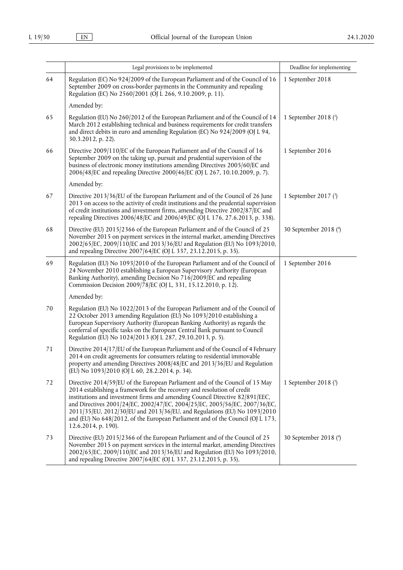|        | Legal provisions to be implemented                                                                                                                                                                                                                                                                                                                                                                                                                                                                         | Deadline for implementing |
|--------|------------------------------------------------------------------------------------------------------------------------------------------------------------------------------------------------------------------------------------------------------------------------------------------------------------------------------------------------------------------------------------------------------------------------------------------------------------------------------------------------------------|---------------------------|
| 64     | Regulation (EC) No 924/2009 of the European Parliament and of the Council of 16<br>September 2009 on cross-border payments in the Community and repealing<br>Regulation (EC) No 2560/2001 (OJ L 266, 9.10.2009, p. 11).                                                                                                                                                                                                                                                                                    | 1 September 2018          |
|        | Amended by:                                                                                                                                                                                                                                                                                                                                                                                                                                                                                                |                           |
| 65     | Regulation (EU) No 260/2012 of the European Parliament and of the Council of 14<br>March 2012 establishing technical and business requirements for credit transfers<br>and direct debits in euro and amending Regulation (EC) No 924/2009 (OJ L 94,<br>30.3.2012, p. 22).                                                                                                                                                                                                                                  | 1 September 2018 $(1)$    |
| 66     | Directive 2009/110/EC of the European Parliament and of the Council of 16<br>September 2009 on the taking up, pursuit and prudential supervision of the<br>business of electronic money institutions amending Directives 2005/60/EC and<br>2006/48/EC and repealing Directive 2000/46/EC (OJ L 267, 10.10.2009, p. 7).                                                                                                                                                                                     | 1 September 2016          |
|        | Amended by:                                                                                                                                                                                                                                                                                                                                                                                                                                                                                                |                           |
| 67     | Directive 2013/36/EU of the European Parliament and of the Council of 26 June<br>2013 on access to the activity of credit institutions and the prudential supervision<br>of credit institutions and investment firms, amending Directive 2002/87 EC and<br>repealing Directives 2006/48/EC and 2006/49/EC (OJ L 176, 27.6.2013, p. 338).                                                                                                                                                                   | 1 September 2017 $(3)$    |
| 68     | Directive (EU) 2015/2366 of the European Parliament and of the Council of 25<br>November 2015 on payment services in the internal market, amending Directives<br>2002/65/EC, 2009/110/EC and 2013/36/EU and Regulation (EU) No 1093/2010,<br>and repealing Directive 2007/64/EC (OJ L 337, 23.12.2015, p. 35).                                                                                                                                                                                             | 30 September 2018 (4)     |
| 69     | Regulation (EU) No 1093/2010 of the European Parliament and of the Council of<br>24 November 2010 establishing a European Supervisory Authority (European<br>Banking Authority), amending Decision No 716/2009/EC and repealing<br>Commission Decision 2009/78/EC (OJ L, 331, 15.12.2010, p. 12).                                                                                                                                                                                                          | 1 September 2016          |
|        | Amended by:                                                                                                                                                                                                                                                                                                                                                                                                                                                                                                |                           |
| $70\,$ | Regulation (EU) No 1022/2013 of the European Parliament and of the Council of<br>22 October 2013 amending Regulation (EU) No 1093/2010 establishing a<br>European Supervisory Authority (European Banking Authority) as regards the<br>conferral of specific tasks on the European Central Bank pursuant to Council<br>Regulation (EU) No 1024/2013 (OJ L 287, 29.10.2013, p. 5).                                                                                                                          |                           |
| 71     | Directive 2014/17/EU of the European Parliament and of the Council of 4 February<br>2014 on credit agreements for consumers relating to residential immovable<br>property and amending Directives 2008/48/EC and 2013/36/EU and Regulation<br>(EU) No 1093/2010 (OJ L 60, 28.2.2014, p. 34).                                                                                                                                                                                                               |                           |
| 72     | Directive 2014/59/EU of the European Parliament and of the Council of 15 May<br>2014 establishing a framework for the recovery and resolution of credit<br>institutions and investment firms and amending Council Directive 82/891/EEC,<br>and Directives 2001/24/EC, 2002/47/EC, 2004/25/EC, 2005/56/EC, 2007/36/EC,<br>2011/35/EU, 2012/30/EU and 2013/36/EU, and Regulations (EU) No 1093/2010<br>and (EU) No 648/2012, of the European Parliament and of the Council (OJ L 173,<br>12.6.2014, p. 190). | 1 September 2018 (3)      |
| 73     | Directive (EU) 2015/2366 of the European Parliament and of the Council of 25<br>November 2015 on payment services in the internal market, amending Directives<br>2002/65/EC, 2009/110/EC and 2013/36/EU and Regulation (EU) No 1093/2010,<br>and repealing Directive 2007/64/EC (OJ L 337, 23.12.2015, p. 35).                                                                                                                                                                                             | 30 September 2018 (4)     |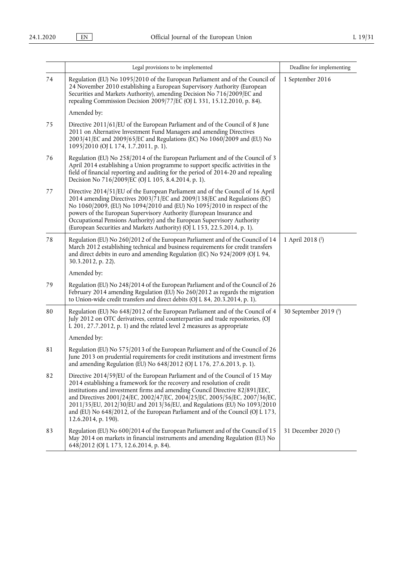|    | Legal provisions to be implemented                                                                                                                                                                                                                                                                                                                                                                                                                                                                         | Deadline for implementing |
|----|------------------------------------------------------------------------------------------------------------------------------------------------------------------------------------------------------------------------------------------------------------------------------------------------------------------------------------------------------------------------------------------------------------------------------------------------------------------------------------------------------------|---------------------------|
| 74 | Regulation (EU) No 1095/2010 of the European Parliament and of the Council of<br>24 November 2010 establishing a European Supervisory Authority (European<br>Securities and Markets Authority), amending Decision No 716/2009/EC and<br>repealing Commission Decision 2009/77/EC (OJ L 331, 15.12.2010, p. 84).                                                                                                                                                                                            | 1 September 2016          |
|    | Amended by:                                                                                                                                                                                                                                                                                                                                                                                                                                                                                                |                           |
| 75 | Directive 2011/61/EU of the European Parliament and of the Council of 8 June<br>2011 on Alternative Investment Fund Managers and amending Directives<br>2003/41/EC and 2009/65/EC and Regulations (EC) No 1060/2009 and (EU) No<br>1095/2010 (OJ L 174, 1.7.2011, p. 1).                                                                                                                                                                                                                                   |                           |
| 76 | Regulation (EU) No 258/2014 of the European Parliament and of the Council of 3<br>April 2014 establishing a Union programme to support specific activities in the<br>field of financial reporting and auditing for the period of 2014-20 and repealing<br>Decision No 716/2009/EC (OJ L 105, 8.4.2014, p. 1).                                                                                                                                                                                              |                           |
| 77 | Directive 2014/51/EU of the European Parliament and of the Council of 16 April<br>2014 amending Directives 2003/71/EC and 2009/138/EC and Regulations (EC)<br>No 1060/2009, (EU) No 1094/2010 and (EU) No 1095/2010 in respect of the<br>powers of the European Supervisory Authority (European Insurance and<br>Occupational Pensions Authority) and the European Supervisory Authority<br>(European Securities and Markets Authority) (OJ L 153, 22.5.2014, p. 1).                                       |                           |
| 78 | Regulation (EU) No 260/2012 of the European Parliament and of the Council of 14<br>March 2012 establishing technical and business requirements for credit transfers<br>and direct debits in euro and amending Regulation (EC) No 924/2009 (OJ L 94,<br>30.3.2012, p. 22).                                                                                                                                                                                                                                  | 1 April 2018 (2)          |
|    | Amended by:                                                                                                                                                                                                                                                                                                                                                                                                                                                                                                |                           |
| 79 | Regulation (EU) No 248/2014 of the European Parliament and of the Council of 26<br>February 2014 amending Regulation (EU) No 260/2012 as regards the migration<br>to Union-wide credit transfers and direct debits (OJ L 84, 20.3.2014, p. 1).                                                                                                                                                                                                                                                             |                           |
| 80 | Regulation (EU) No 648/2012 of the European Parliament and of the Council of 4<br>July 2012 on OTC derivatives, central counterparties and trade repositories, (OJ<br>L 201, 27.7.2012, p. 1) and the related level 2 measures as appropriate                                                                                                                                                                                                                                                              | 30 September 2019 (3)     |
|    | Amended by:                                                                                                                                                                                                                                                                                                                                                                                                                                                                                                |                           |
| 81 | Regulation (EU) No 575/2013 of the European Parliament and of the Council of 26<br>June 2013 on prudential requirements for credit institutions and investment firms<br>and amending Regulation (EU) No 648/2012 (OJ L 176, 27.6.2013, p. 1).                                                                                                                                                                                                                                                              |                           |
| 82 | Directive 2014/59/EU of the European Parliament and of the Council of 15 May<br>2014 establishing a framework for the recovery and resolution of credit<br>institutions and investment firms and amending Council Directive 82/891/EEC,<br>and Directives 2001/24/EC, 2002/47/EC, 2004/25/EC, 2005/56/EC, 2007/36/EC,<br>2011/35/EU, 2012/30/EU and 2013/36/EU, and Regulations (EU) No 1093/2010<br>and (EU) No 648/2012, of the European Parliament and of the Council (OJ L 173,<br>12.6.2014, p. 190). |                           |
| 83 | Regulation (EU) No 600/2014 of the European Parliament and of the Council of 15<br>May 2014 on markets in financial instruments and amending Regulation (EU) No<br>648/2012 (OJ L 173, 12.6.2014, p. 84).                                                                                                                                                                                                                                                                                                  | 31 December 2020 (3)      |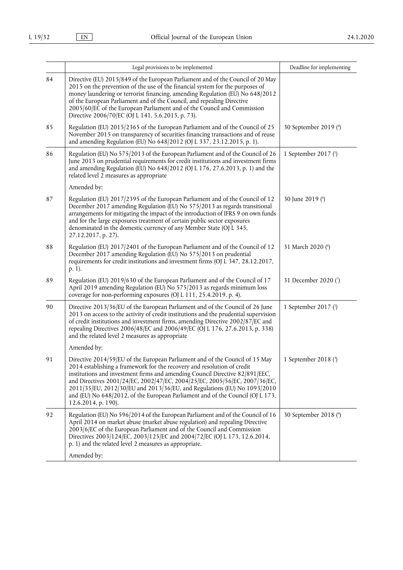|    | Legal provisions to be implemented                                                                                                                                                                                                                                                                                                                                                                                                                                                                         | Deadline for implementing |
|----|------------------------------------------------------------------------------------------------------------------------------------------------------------------------------------------------------------------------------------------------------------------------------------------------------------------------------------------------------------------------------------------------------------------------------------------------------------------------------------------------------------|---------------------------|
| 84 | Directive (EU) 2015/849 of the European Parliament and of the Council of 20 May<br>2015 on the prevention of the use of the financial system for the purposes of<br>money laundering or terrorist financing, amending Regulation (EU) No 648/2012<br>of the European Parliament and of the Council, and repealing Directive<br>2005/60/EC of the European Parliament and of the Council and Commission<br>Directive 2006/70/EC (OJ L 141, 5.6.2015, p. 73).                                                |                           |
| 85 | Regulation (EU) 2015/2365 of the European Parliament and of the Council of 25<br>November 2015 on transparency of securities financing transactions and of reuse<br>and amending Regulation (EU) No 648/2012 (OJ L 337, 23.12.2015, p. 1).                                                                                                                                                                                                                                                                 | 30 September 2019 (4)     |
| 86 | Regulation (EU) No 575/2013 of the European Parliament and of the Council of 26<br>June 2013 on prudential requirements for credit institutions and investment firms<br>and amending Regulation (EU) No 648/2012 (OJ L 176, 27.6.2013, p. 1) and the<br>related level 2 measures as appropriate                                                                                                                                                                                                            | 1 September 2017 (1)      |
|    | Amended by:                                                                                                                                                                                                                                                                                                                                                                                                                                                                                                |                           |
| 87 | Regulation (EU) 2017/2395 of the European Parliament and of the Council of 12<br>December 2017 amending Regulation (EU) No 575/2013 as regards transitional<br>arrangements for mitigating the impact of the introduction of IFRS 9 on own funds<br>and for the large exposures treatment of certain public sector exposures<br>denominated in the domestic currency of any Member State (OJ L 345,<br>27.12.2017, p. 27).                                                                                 | 30 June 2019 (6)          |
| 88 | Regulation (EU) 2017/2401 of the European Parliament and of the Council of 12<br>December 2017 amending Regulation (EU) No 575/2013 on prudential<br>requirements for credit institutions and investment firms (OJ L 347, 28.12.2017,<br>p. 1).                                                                                                                                                                                                                                                            | 31 March 2020 (6)         |
| 89 | Regulation (EU) 2019/630 of the European Parliament and of the Council of 17<br>April 2019 amending Regulation (EU) No 575/2013 as regards minimum loss<br>coverage for non-performing exposures (OJ L 111, 25.4.2019, p. 4).                                                                                                                                                                                                                                                                              | 31 December 2020 (7)      |
| 90 | Directive 2013/36/EU of the European Parliament and of the Council of 26 June<br>2013 on access to the activity of credit institutions and the prudential supervision<br>of credit institutions and investment firms, amending Directive 2002/87 EC and<br>repealing Directives 2006/48/EC and 2006/49/EC (OJ L 176, 27.6.2013, p. 338)<br>and the related level 2 measures as appropriate                                                                                                                 | 1 September 2017 (1)      |
|    | Amended by:                                                                                                                                                                                                                                                                                                                                                                                                                                                                                                |                           |
| 91 | Directive 2014/59/EU of the European Parliament and of the Council of 15 May<br>2014 establishing a framework for the recovery and resolution of credit<br>institutions and investment firms and amending Council Directive 82/891/EEC,<br>and Directives 2001/24/EC, 2002/47/EC, 2004/25/EC, 2005/56/EC, 2007/36/EC,<br>2011/35/EU, 2012/30/EU and 2013/36/EU, and Regulations (EU) No 1093/2010<br>and (EU) No 648/2012, of the European Parliament and of the Council (OJ L 173,<br>12.6.2014, p. 190). | 1 September 2018 (3)      |
| 92 | Regulation (EU) No 596/2014 of the European Parliament and of the Council of 16<br>April 2014 on market abuse (market abuse regulation) and repealing Directive<br>2003/6/EC of the European Parliament and of the Council and Commission<br>Directives 2003/124/EC, 2003/125/EC and 2004/72/EC (OJ L 173, 12.6.2014,<br>p. 1) and the related level 2 measures as appropriate.                                                                                                                            | 30 September 2018 (4)     |
|    | Amended by:                                                                                                                                                                                                                                                                                                                                                                                                                                                                                                |                           |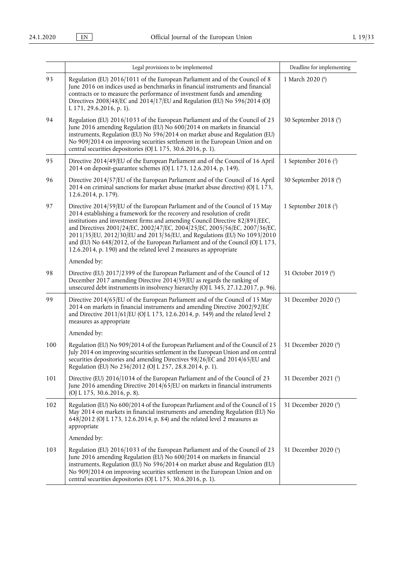|     | Legal provisions to be implemented                                                                                                                                                                                                                                                                                                                                                                                                                                                                                                                        | Deadline for implementing |
|-----|-----------------------------------------------------------------------------------------------------------------------------------------------------------------------------------------------------------------------------------------------------------------------------------------------------------------------------------------------------------------------------------------------------------------------------------------------------------------------------------------------------------------------------------------------------------|---------------------------|
| 93  | Regulation (EU) 2016/1011 of the European Parliament and of the Council of 8<br>June 2016 on indices used as benchmarks in financial instruments and financial<br>contracts or to measure the performance of investment funds and amending<br>Directives 2008/48/EC and 2014/17/EU and Regulation (EU) No 596/2014 (OJ<br>L 171, 29.6.2016, p. 1).                                                                                                                                                                                                        | 1 March 2020 (6)          |
| 94  | Regulation (EU) 2016/1033 of the European Parliament and of the Council of 23<br>June 2016 amending Regulation (EU) No 600/2014 on markets in financial<br>instruments, Regulation (EU) No 596/2014 on market abuse and Regulation (EU)<br>No 909/2014 on improving securities settlement in the European Union and on<br>central securities depositories (OJ L 175, 30.6.2016, p. 1).                                                                                                                                                                    | 30 September 2018 (5)     |
| 95  | Directive 2014/49/EU of the European Parliament and of the Council of 16 April<br>2014 on deposit-guarantee schemes (OJ L 173, 12.6.2014, p. 149).                                                                                                                                                                                                                                                                                                                                                                                                        | 1 September 2016 $(2)$    |
| 96  | Directive 2014/57/EU of the European Parliament and of the Council of 16 April<br>2014 on criminal sanctions for market abuse (market abuse directive) (OJ L 173,<br>12.6.2014, p. 179).                                                                                                                                                                                                                                                                                                                                                                  | 30 September 2018 (4)     |
| 97  | Directive 2014/59/EU of the European Parliament and of the Council of 15 May<br>2014 establishing a framework for the recovery and resolution of credit<br>institutions and investment firms and amending Council Directive 82/891/EEC,<br>and Directives 2001/24/EC, 2002/47/EC, 2004/25/EC, 2005/56/EC, 2007/36/EC,<br>2011/35/EU, 2012/30/EU and 2013/36/EU, and Regulations (EU) No 1093/2010<br>and (EU) No 648/2012, of the European Parliament and of the Council (OJ L 173,<br>12.6.2014, p. 190) and the related level 2 measures as appropriate | 1 September 2018 $(2)$    |
|     | Amended by:                                                                                                                                                                                                                                                                                                                                                                                                                                                                                                                                               |                           |
| 98  | Directive (EU) 2017/2399 of the European Parliament and of the Council of 12<br>December 2017 amending Directive 2014/59/EU as regards the ranking of<br>unsecured debt instruments in insolvency hierarchy (OJ L 345, 27.12.2017, p. 96).                                                                                                                                                                                                                                                                                                                | 31 October 2019 (6)       |
| 99  | Directive 2014/65/EU of the European Parliament and of the Council of 15 May<br>2014 on markets in financial instruments and amending Directive 2002/92/EC<br>and Directive 2011/61/EU (OJ L 173, 12.6.2014, p. 349) and the related level 2<br>measures as appropriate                                                                                                                                                                                                                                                                                   | 31 December 2020 (3)      |
|     | Amended by:                                                                                                                                                                                                                                                                                                                                                                                                                                                                                                                                               |                           |
| 100 | Regulation (EU) No 909/2014 of the European Parliament and of the Council of 23<br>July 2014 on improving securities settlement in the European Union and on central<br>securities depositories and amending Directives 98/26/EC and 2014/65/EU and<br>Regulation (EU) No 236/2012 (OJ L 257, 28.8.2014, p. 1).                                                                                                                                                                                                                                           | 31 December 2020 (4)      |
| 101 | Directive (EU) 2016/1034 of the European Parliament and of the Council of 23<br>June 2016 amending Directive 2014/65/EU on markets in financial instruments<br>(OJ L 175, 30.6.2016, p. 8).                                                                                                                                                                                                                                                                                                                                                               | 31 December 2021 (5)      |
| 102 | Regulation (EU) No 600/2014 of the European Parliament and of the Council of 15<br>May 2014 on markets in financial instruments and amending Regulation (EU) No<br>648/2012 (OJ L 173, 12.6.2014, p. 84) and the related level 2 measures as<br>appropriate                                                                                                                                                                                                                                                                                               | 31 December 2020 (3)      |
|     | Amended by:                                                                                                                                                                                                                                                                                                                                                                                                                                                                                                                                               |                           |
| 103 | Regulation (EU) 2016/1033 of the European Parliament and of the Council of 23<br>June 2016 amending Regulation (EU) No 600/2014 on markets in financial<br>instruments, Regulation (EU) No 596/2014 on market abuse and Regulation (EU)<br>No 909/2014 on improving securities settlement in the European Union and on<br>central securities depositories (OJ L 175, 30.6.2016, p. 1).                                                                                                                                                                    | 31 December 2020 (5)      |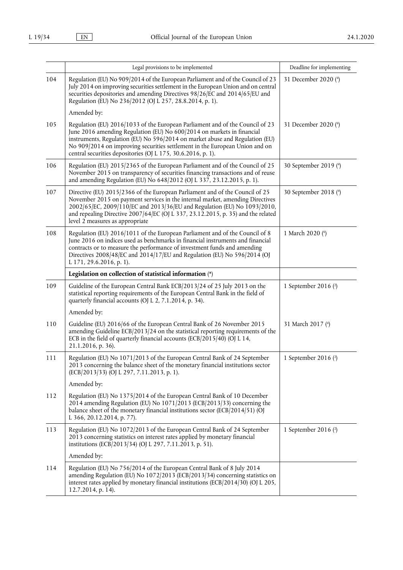|     | Legal provisions to be implemented                                                                                                                                                                                                                                                                                                                                                     | Deadline for implementing |
|-----|----------------------------------------------------------------------------------------------------------------------------------------------------------------------------------------------------------------------------------------------------------------------------------------------------------------------------------------------------------------------------------------|---------------------------|
| 104 | Regulation (EU) No 909/2014 of the European Parliament and of the Council of 23<br>July 2014 on improving securities settlement in the European Union and on central<br>securities depositories and amending Directives 98/26/EC and 2014/65/EU and<br>Regulation (EU) No 236/2012 (OJ L 257, 28.8.2014, p. 1).                                                                        | 31 December 2020 (4)      |
|     | Amended by:                                                                                                                                                                                                                                                                                                                                                                            |                           |
| 105 | Regulation (EU) 2016/1033 of the European Parliament and of the Council of 23<br>June 2016 amending Regulation (EU) No 600/2014 on markets in financial<br>instruments, Regulation (EU) No 596/2014 on market abuse and Regulation (EU)<br>No 909/2014 on improving securities settlement in the European Union and on<br>central securities depositories (OJ L 175, 30.6.2016, p. 1). | 31 December 2020 (6)      |
| 106 | Regulation (EU) 2015/2365 of the European Parliament and of the Council of 25<br>November 2015 on transparency of securities financing transactions and of reuse<br>and amending Regulation (EU) No 648/2012 (OJ L 337, 23.12.2015, p. 1).                                                                                                                                             | 30 September 2019 (4)     |
| 107 | Directive (EU) 2015/2366 of the European Parliament and of the Council of 25<br>November 2015 on payment services in the internal market, amending Directives<br>2002/65/EC, 2009/110/EC and 2013/36/EU and Regulation (EU) No 1093/2010,<br>and repealing Directive 2007/64/EC (OJ L 337, 23.12.2015, p. 35) and the related<br>level 2 measures as appropriate                       | 30 September 2018 (4)     |
| 108 | Regulation (EU) 2016/1011 of the European Parliament and of the Council of 8<br>June 2016 on indices used as benchmarks in financial instruments and financial<br>contracts or to measure the performance of investment funds and amending<br>Directives 2008/48/EC and 2014/17/EU and Regulation (EU) No 596/2014 (OJ<br>L 171, 29.6.2016, p. 1).                                     | 1 March 2020 (6)          |
|     | Legislation on collection of statistical information (*)                                                                                                                                                                                                                                                                                                                               |                           |
| 109 | Guideline of the European Central Bank ECB/2013/24 of 25 July 2013 on the<br>statistical reporting requirements of the European Central Bank in the field of<br>quarterly financial accounts (OJ L 2, 7.1.2014, p. 34).                                                                                                                                                                | 1 September 2016 $(2)$    |
|     | Amended by:                                                                                                                                                                                                                                                                                                                                                                            |                           |
| 110 | Guideline (EU) 2016/66 of the European Central Bank of 26 November 2015<br>amending Guideline ECB/2013/24 on the statistical reporting requirements of the<br>ECB in the field of quarterly financial accounts (ECB/2015/40) (OJ L 14,<br>21.1.2016, p. 36).                                                                                                                           | 31 March 2017 (4)         |
| 111 | Regulation (EU) No 1071/2013 of the European Central Bank of 24 September<br>2013 concerning the balance sheet of the monetary financial institutions sector<br>(ECB/2013/33) (OJ L 297, 7.11.2013, p. 1).                                                                                                                                                                             | 1 September 2016 (2)      |
|     | Amended by:                                                                                                                                                                                                                                                                                                                                                                            |                           |
| 112 | Regulation (EU) No 1375/2014 of the European Central Bank of 10 December<br>2014 amending Regulation (EU) No 1071/2013 (ECB/2013/33) concerning the<br>balance sheet of the monetary financial institutions sector (ECB/2014/51) (OJ<br>L 366, 20.12.2014, p. 77).                                                                                                                     |                           |
| 113 | Regulation (EU) No 1072/2013 of the European Central Bank of 24 September<br>2013 concerning statistics on interest rates applied by monetary financial<br>institutions (ECB/2013/34) (OJ L 297, 7.11.2013, p. 51).                                                                                                                                                                    | 1 September 2016 $(2)$    |
|     | Amended by:                                                                                                                                                                                                                                                                                                                                                                            |                           |
| 114 | Regulation (EU) No 756/2014 of the European Central Bank of 8 July 2014<br>amending Regulation (EU) No 1072/2013 (ECB/2013/34) concerning statistics on<br>interest rates applied by monetary financial institutions (ECB/2014/30) (OJ L 205,<br>12.7.2014, p. 14).                                                                                                                    |                           |